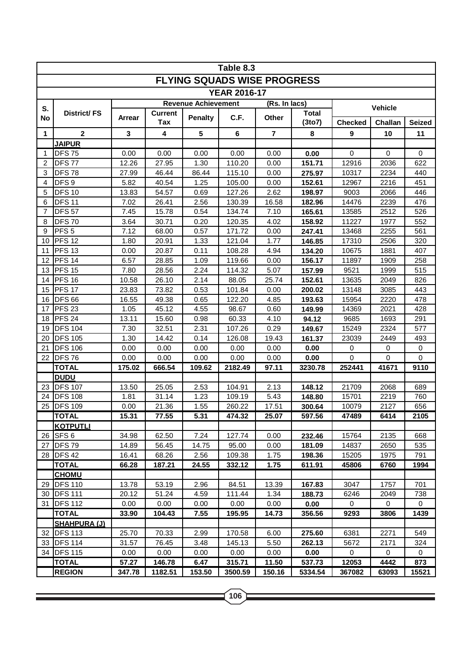|                 | Table 8.3                        |               |                |                            |                                    |                         |                  |                |                |               |  |  |  |
|-----------------|----------------------------------|---------------|----------------|----------------------------|------------------------------------|-------------------------|------------------|----------------|----------------|---------------|--|--|--|
|                 |                                  |               |                |                            | <b>FLYING SQUADS WISE PROGRESS</b> |                         |                  |                |                |               |  |  |  |
|                 |                                  |               |                |                            | <b>YEAR 2016-17</b>                |                         |                  |                |                |               |  |  |  |
|                 |                                  |               |                | <b>Revenue Achievement</b> |                                    | (Rs. In lacs)           |                  |                | <b>Vehicle</b> |               |  |  |  |
| S.<br><b>No</b> | <b>District/FS</b>               | Arrear        | <b>Current</b> | <b>Penalty</b>             | C.F.                               | <b>Other</b>            | <b>Total</b>     |                |                |               |  |  |  |
|                 |                                  |               | Tax            |                            |                                    |                         | (3to7)           | <b>Checked</b> | Challan        | <b>Seized</b> |  |  |  |
| 1               | $\mathbf{2}$                     | 3             | 4              | 5                          | 6                                  | $\overline{\mathbf{r}}$ | 8                | 9              | 10             | 11            |  |  |  |
| $\mathbf{1}$    | <b>JAIPUR</b><br><b>DFS75</b>    |               |                |                            |                                    |                         |                  | 0              | $\Omega$       | $\Omega$      |  |  |  |
|                 |                                  | 0.00          | 0.00           | 0.00                       | 0.00                               | 0.00                    | 0.00             |                |                |               |  |  |  |
| $\overline{2}$  | <b>DFS77</b>                     | 12.26         | 27.95          | 1.30                       | 110.20                             | 0.00                    | 151.71           | 12916          | 2036           | 622           |  |  |  |
| 3               | <b>DFS78</b><br>DFS <sub>9</sub> | 27.99<br>5.82 | 46.44          | 86.44                      | 115.10                             | 0.00                    | 275.97           | 10317          | 2234           | 440           |  |  |  |
| 4<br>5          | <b>DFS 10</b>                    | 13.83         | 40.54<br>54.57 | 1.25<br>0.69               | 105.00<br>127.26                   | 0.00<br>2.62            | 152.61           | 12967<br>9003  | 2216<br>2066   | 451<br>446    |  |  |  |
| 6               | <b>DFS11</b>                     | 7.02          | 26.41          | 2.56                       | 130.39                             | 16.58                   | 198.97           | 14476          | 2239           | 476           |  |  |  |
| 7               | <b>DFS 57</b>                    | 7.45          | 15.78          | 0.54                       | 134.74                             | 7.10                    | 182.96<br>165.61 | 13585          | 2512           | 526           |  |  |  |
| 8               | <b>DFS70</b>                     | 3.64          | 30.71          | 0.20                       | 120.35                             | 4.02                    | 158.92           | 11227          | 1977           | 552           |  |  |  |
| 9               | PFS <sub>5</sub>                 | 7.12          | 68.00          | 0.57                       | 171.72                             | 0.00                    | 247.41           | 13468          | 2255           | 561           |  |  |  |
| 10              | <b>PFS 12</b>                    | 1.80          | 20.91          | 1.33                       | 121.04                             | 1.77                    | 146.85           | 17310          | 2506           | 320           |  |  |  |
| 11              | <b>PFS 13</b>                    | 0.00          | 20.87          | 0.11                       | 108.28                             | 4.94                    | 134.20           | 10675          | 1881           | 407           |  |  |  |
| 12              | <b>PFS 14</b>                    | 6.57          | 28.85          | 1.09                       | 119.66                             | 0.00                    | 156.17           | 11897          | 1909           | 258           |  |  |  |
| 13              | <b>PFS 15</b>                    | 7.80          | 28.56          | 2.24                       | 114.32                             | 5.07                    | 157.99           | 9521           | 1999           | 515           |  |  |  |
| 14              | <b>PFS 16</b>                    | 10.58         | 26.10          | 2.14                       | 88.05                              | 25.74                   | 152.61           | 13635          | 2049           | 826           |  |  |  |
| 15              | <b>PFS 17</b>                    | 23.83         | 73.82          | 0.53                       | 101.84                             | 0.00                    | 200.02           | 13148          | 3085           | 443           |  |  |  |
| 16              | <b>DFS 66</b>                    | 16.55         | 49.38          | 0.65                       | 122.20                             | 4.85                    | 193.63           | 15954          | 2220           | 478           |  |  |  |
| 17              | <b>PFS 23</b>                    | 1.05          | 45.12          | 4.55                       | 98.67                              | 0.60                    | 149.99           | 14369          | 2021           | 428           |  |  |  |
| 18              | PFS <sub>24</sub>                | 13.11         | 15.60          | 0.98                       | 60.33                              | 4.10                    | 94.12            | 9685           | 1693           | 291           |  |  |  |
| 19              | <b>DFS 104</b>                   | 7.30          | 32.51          | 2.31                       | 107.26                             | 0.29                    | 149.67           | 15249          | 2324           | 577           |  |  |  |
| 20              | <b>DFS 105</b>                   | 1.30          | 14.42          | 0.14                       | 126.08                             | 19.43                   | 161.37           | 23039          | 2449           | 493           |  |  |  |
| 21              | <b>DFS 106</b>                   | 0.00          | 0.00           | 0.00                       | 0.00                               | 0.00                    | 0.00             | $\mathbf 0$    | 0              | $\pmb{0}$     |  |  |  |
| 22              | <b>DFS76</b>                     | 0.00          | 0.00           | 0.00                       | 0.00                               | 0.00                    | 0.00             | $\Omega$       | $\Omega$       | $\Omega$      |  |  |  |
|                 | <b>TOTAL</b>                     | 175.02        | 666.54         | 109.62                     | 2182.49                            | 97.11                   | 3230.78          | 252441         | 41671          | 9110          |  |  |  |
|                 | <b>DUDU</b>                      |               |                |                            |                                    |                         |                  |                |                |               |  |  |  |
| 23              | <b>DFS 107</b>                   | 13.50         | 25.05          | 2.53                       | 104.91                             | 2.13                    | 148.12           | 21709          | 2068           | 689           |  |  |  |
| 24              | <b>DFS 108</b>                   | 1.81          | 31.14          | 1.23                       | 109.19                             | 5.43                    | 148.80           | 15701          | 2219           | 760           |  |  |  |
| 25              | <b>DFS 109</b>                   | 0.00          | 21.36          | 1.55                       | 260.22                             | 17.51                   | 300.64           | 10079          | 2127           | 656           |  |  |  |
|                 | <b>TOTAL</b>                     | 15.31         | 77.55          | 5.31                       | 474.32                             | 25.07                   | 597.56           | 47489          | 6414           | 2105          |  |  |  |
|                 | <b>KOTPUTLI</b>                  |               |                |                            |                                    |                         |                  |                |                |               |  |  |  |
| 26              | SFS <sub>6</sub>                 | 34.98         | 62.50          | 7.24                       | 127.74                             | 0.00                    | 232.46           | 15764          | 2135           | 668           |  |  |  |
| 27              | <b>DFS79</b>                     | 14.89         | 56.45          | 14.75                      | 95.00                              | 0.00                    | 181.09           | 14837          | 2650           | 535           |  |  |  |
| 28              | <b>DFS42</b>                     | 16.41         | 68.26          | 2.56                       | 109.38                             | 1.75                    | 198.36           | 15205          | 1975           | 791           |  |  |  |
|                 | <b>TOTAL</b>                     | 66.28         | 187.21         | 24.55                      | 332.12                             | 1.75                    | 611.91           | 45806          | 6760           | 1994          |  |  |  |
|                 | <b>CHOMU</b>                     |               |                |                            |                                    |                         |                  |                |                |               |  |  |  |
| 29              | <b>DFS 110</b>                   | 13.78         | 53.19          | 2.96                       | 84.51                              | 13.39                   | 167.83           | 3047           | 1757           | 701           |  |  |  |
| 30              | <b>DFS 111</b>                   | 20.12         | 51.24          | 4.59                       | 111.44                             | 1.34                    | 188.73           | 6246           | 2049           | 738           |  |  |  |
| 31              | <b>DFS 112</b>                   | 0.00          | 0.00           | 0.00                       | 0.00                               | 0.00                    | 0.00             | 0              | 0              | 0             |  |  |  |
|                 | <b>TOTAL</b>                     | 33.90         | 104.43         | 7.55                       | 195.95                             | 14.73                   | 356.56           | 9293           | 3806           | 1439          |  |  |  |
|                 | <b>SHAHPURA (J)</b>              |               |                |                            |                                    |                         |                  |                |                |               |  |  |  |
| 32              | <b>DFS 113</b>                   | 25.70         | 70.33          | 2.99                       | 170.58                             | 6.00                    | 275.60           | 6381           | 2271           | 549           |  |  |  |
| 33              | <b>DFS 114</b>                   | 31.57         | 76.45          | 3.48                       | 145.13                             | 5.50                    | 262.13           | 5672           | 2171           | 324           |  |  |  |
| 34              | <b>DFS 115</b>                   | 0.00          | 0.00           | 0.00                       | 0.00                               | 0.00                    | 0.00             | 0              | 0              | 0             |  |  |  |
|                 | <b>TOTAL</b>                     | 57.27         | 146.78         | 6.47                       | 315.71                             | 11.50                   | 537.73           | 12053          | 4442           | 873           |  |  |  |
|                 | <b>REGION</b>                    | 347.78        | 1182.51        | 153.50                     | 3500.59                            | 150.16                  | 5334.54          | 367082         | 63093          | 15521         |  |  |  |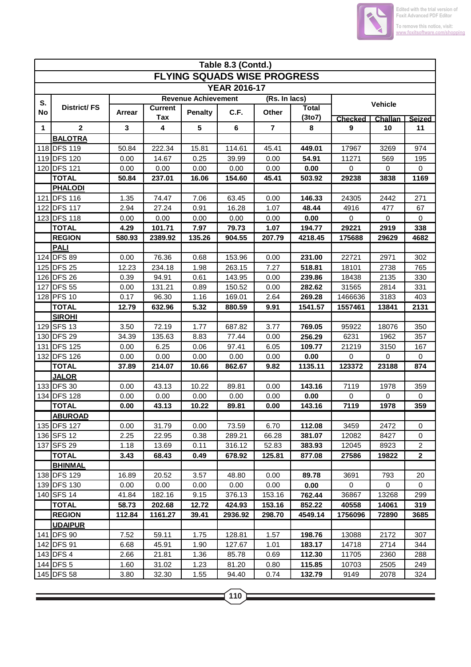

|     | Table 8.3 (Contd.)            |        |                       |                            |                     |                                    |                        |                                      |                |                     |  |  |
|-----|-------------------------------|--------|-----------------------|----------------------------|---------------------|------------------------------------|------------------------|--------------------------------------|----------------|---------------------|--|--|
|     |                               |        |                       |                            |                     | <b>FLYING SQUADS WISE PROGRESS</b> |                        |                                      |                |                     |  |  |
|     |                               |        |                       |                            | <b>YEAR 2016-17</b> |                                    |                        |                                      |                |                     |  |  |
| S.  |                               |        |                       | <b>Revenue Achievement</b> |                     | (Rs. In lacs)                      |                        |                                      |                |                     |  |  |
| No  | <b>District/FS</b>            | Arrear | <b>Current</b><br>Tax | <b>Penalty</b>             | C.F.                | <b>Other</b>                       | <b>Total</b><br>(3to7) |                                      | <b>Vehicle</b> |                     |  |  |
| 1   | $\mathbf 2$                   | 3      | 4                     | 5                          | 6                   | $\overline{7}$                     | 8                      | Challan<br><b>Checked</b><br>9<br>10 |                | <b>Seized</b><br>11 |  |  |
|     | <b>BALOTRA</b>                |        |                       |                            |                     |                                    |                        |                                      |                |                     |  |  |
|     | 118 DFS 119                   | 50.84  | 222.34                | 15.81                      | 114.61              | 45.41                              | 449.01                 | 17967                                | 3269           | 974                 |  |  |
|     | 119 DFS 120                   | 0.00   | 14.67                 | 0.25                       | 39.99               | 0.00                               | 54.91                  | 11271                                | 569            | 195                 |  |  |
|     | 120 DFS 121                   | 0.00   | 0.00                  | 0.00                       | 0.00                | 0.00                               | 0.00                   | $\mathbf 0$                          | 0              | $\mathbf 0$         |  |  |
|     | <b>TOTAL</b>                  | 50.84  | 237.01                | 16.06                      | 154.60              | 45.41                              | 503.92                 | 29238                                | 3838           | 1169                |  |  |
|     | <b>PHALODI</b>                |        |                       |                            |                     |                                    |                        |                                      |                |                     |  |  |
|     | 121 DFS 116                   | 1.35   | 74.47                 | 7.06                       | 63.45               | 0.00                               | 146.33                 | 24305                                | 2442           | 271                 |  |  |
|     | 122 DFS 117                   | 2.94   | 27.24                 | 0.91                       | 16.28               | 1.07                               | 48.44                  | 4916                                 | 477            | 67                  |  |  |
|     | 123 DFS 118                   | 0.00   | 0.00                  | 0.00                       | 0.00                | 0.00                               | 0.00                   | 0                                    | 0              | $\mathbf 0$         |  |  |
|     | <b>TOTAL</b>                  | 4.29   | 101.71                | 7.97                       | 79.73               | 1.07                               | 194.77                 | 29221                                | 2919           | 338                 |  |  |
|     | <b>REGION</b>                 | 580.93 | 2389.92               | 135.26                     | 904.55              | 207.79                             | 4218.45                | 175688                               | 29629          | 4682                |  |  |
|     | <b>PALI</b>                   |        |                       |                            |                     |                                    |                        |                                      |                |                     |  |  |
|     | 124 DFS 89                    | 0.00   | 76.36                 | 0.68                       | 153.96              | 0.00                               | 231.00                 | 22721                                | 2971           | 302                 |  |  |
|     | 125 DFS 25                    | 12.23  | 234.18                | 1.98                       | 263.15              | 7.27                               | 518.81                 | 18101                                | 2738           | 765                 |  |  |
|     | 126 DFS 26                    | 0.39   | 94.91                 | 0.61                       | 143.95              | 0.00                               | 239.86                 | 18438                                | 2135           | 330                 |  |  |
| 127 | <b>DFS 55</b>                 | 0.00   | 131.21                | 0.89                       | 150.52              | 0.00                               | 282.62                 | 31565                                | 2814           | 331                 |  |  |
|     | 128 PFS 10                    | 0.17   | 96.30                 | 1.16                       | 169.01              | 2.64                               | 269.28                 | 1466636                              | 3183           | 403                 |  |  |
|     | <b>TOTAL</b>                  | 12.79  | 632.96                | 5.32                       | 880.59              | 9.91                               | 1541.57                | 1557461                              | 13841          | 2131                |  |  |
|     | <b>SIROHI</b>                 |        |                       |                            |                     |                                    |                        |                                      |                |                     |  |  |
|     | 129 SFS 13                    | 3.50   | 72.19                 | 1.77                       | 687.82              | 3.77                               | 769.05                 | 95922                                | 18076          | 350                 |  |  |
|     | 130 DFS 29                    | 34.39  | 135.63                | 8.83                       | 77.44               | 0.00                               | 256.29                 | 6231                                 | 1962           | 357                 |  |  |
|     | 131 DFS 125                   | 0.00   | 6.25                  | 0.06                       | 97.41               | 6.05                               | 109.77                 | 21219                                | 3150           | 167                 |  |  |
|     | 132 DFS 126                   | 0.00   | 0.00                  | 0.00                       | 0.00                | 0.00                               | 0.00                   | 0                                    | 0              | 0                   |  |  |
|     | <b>TOTAL</b>                  | 37.89  | 214.07                | 10.66                      | 862.67              | 9.82                               | 1135.11                | 123372                               | 23188          | 874                 |  |  |
|     | <b>JALOR</b>                  |        |                       |                            |                     |                                    |                        |                                      |                |                     |  |  |
|     | 133 DFS 30                    | 0.00   | 43.13                 | 10.22                      | 89.81               | 0.00                               | 143.16                 | 7119                                 | 1978           | 359                 |  |  |
|     | 134 DFS 128                   | 0.00   | 0.00                  | 0.00                       | 0.00                | 0.00                               | 0.00                   | 0                                    | 0              | 0                   |  |  |
|     | <b>TOTAL</b>                  | 0.00   | 43.13                 | 10.22                      | 89.81               | 0.00                               | 143.16                 | 7119                                 | 1978           | 359                 |  |  |
|     | <b>ABUROAD</b><br>135 DFS 127 | 0.00   | 31.79                 |                            | 73.59               | 6.70                               | 112.08                 | 3459                                 | 2472           | $\mathbf 0$         |  |  |
|     | 136 SFS 12                    | 2.25   | 22.95                 | 0.00                       | 289.21              |                                    |                        | 12082                                | 8427           | 0                   |  |  |
|     | 137 SFS 29                    | 1.18   | 13.69                 | 0.38<br>0.11               | 316.12              | 66.28<br>52.83                     | 381.07<br>383.93       | 12045                                | 8923           | $\overline{2}$      |  |  |
|     | <b>TOTAL</b>                  | 3.43   | 68.43                 | 0.49                       | 678.92              | 125.81                             | 877.08                 | 27586                                | 19822          | $\mathbf{2}$        |  |  |
|     | <b>BHINMAL</b>                |        |                       |                            |                     |                                    |                        |                                      |                |                     |  |  |
|     | 138 DFS 129                   | 16.89  | 20.52                 | 3.57                       | 48.80               | 0.00                               | 89.78                  | 3691                                 | 793            | 20                  |  |  |
|     | 139 DFS 130                   | 0.00   | 0.00                  | 0.00                       | 0.00                | 0.00                               | 0.00                   | $\mathbf 0$                          | 0              | 0                   |  |  |
|     | 140 SFS 14                    | 41.84  | 182.16                | 9.15                       | 376.13              | 153.16                             | 762.44                 | 36867                                | 13268          | 299                 |  |  |
|     | <b>TOTAL</b>                  | 58.73  | 202.68                | 12.72                      | 424.93              | 153.16                             | 852.22                 | 40558                                | 14061          | 319                 |  |  |
|     | <b>REGION</b>                 | 112.84 | 1161.27               | 39.41                      | 2936.92             | 298.70                             | 4549.14                | 1756096                              | 72890          | 3685                |  |  |
|     | <b>UDAIPUR</b>                |        |                       |                            |                     |                                    |                        |                                      |                |                     |  |  |
|     | 141 <b>DFS</b> 90             | 7.52   | 59.11                 | 1.75                       | 128.81              | 1.57                               | 198.76                 | 13088                                | 2172           | 307                 |  |  |
|     | 142 DFS 91                    | 6.68   | 45.91                 | 1.90                       | 127.67              | 1.01                               | 183.17                 | 14718                                | 2714           | 344                 |  |  |
|     | 143 DFS 4                     | 2.66   | 21.81                 | 1.36                       | 85.78               | 0.69                               | 112.30                 | 11705                                | 2360           | 288                 |  |  |
|     | 144 DFS 5                     | 1.60   | 31.02                 | 1.23                       | 81.20               | 0.80                               | 115.85                 | 10703                                | 2505           | 249                 |  |  |
|     | 145 DFS 58                    | 3.80   | 32.30                 | 1.55                       | 94.40               | 0.74                               | 132.79                 | 9149                                 | 2078           | 324                 |  |  |
|     |                               |        |                       |                            |                     |                                    |                        |                                      |                |                     |  |  |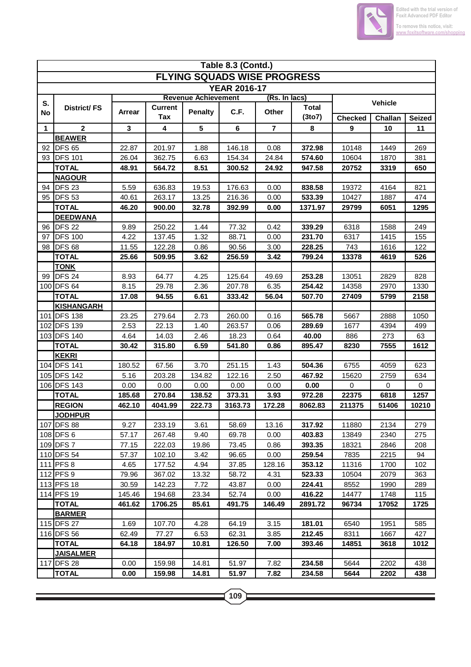

|     | Table 8.3 (Contd.)         |                |                       |                            |                                    |                |                        |                      |                |               |  |  |
|-----|----------------------------|----------------|-----------------------|----------------------------|------------------------------------|----------------|------------------------|----------------------|----------------|---------------|--|--|
|     |                            |                |                       |                            | <b>FLYING SQUADS WISE PROGRESS</b> |                |                        |                      |                |               |  |  |
|     |                            |                |                       |                            | <b>YEAR 2016-17</b>                |                |                        |                      |                |               |  |  |
| S.  |                            |                |                       | <b>Revenue Achievement</b> |                                    | (Rs. In lacs)  |                        |                      | Vehicle        |               |  |  |
| No  | District/FS                | <b>Arrear</b>  | <b>Current</b><br>Tax | <b>Penalty</b>             | C.F.                               | Other          | <b>Total</b><br>(3to7) | <b>Checked</b>       | <b>Challan</b> | <b>Seized</b> |  |  |
| 1   | $\overline{2}$             | 3              | 4                     | 5                          | $\bf 6$                            | $\overline{7}$ | 8                      | 9                    | 10             | 11            |  |  |
|     | <b>BEAWER</b>              |                |                       |                            |                                    |                |                        |                      |                |               |  |  |
| 92  | <b>DFS 65</b>              | 22.87          | 201.97                | 1.88                       | 146.18                             | 0.08           | 372.98                 | 10148                | 1449           | 269           |  |  |
| 93  | <b>DFS 101</b>             | 26.04          | 362.75                | 6.63                       | 154.34                             | 24.84          | 574.60                 | 10604                | 1870           | 381           |  |  |
|     | <b>TOTAL</b>               | 48.91          | 564.72                | 8.51                       | 300.52                             | 24.92          | 947.58                 | 20752                | 3319           | 650           |  |  |
|     | <b>NAGOUR</b>              |                |                       |                            |                                    |                |                        |                      |                |               |  |  |
| 94  | <b>DFS 23</b>              | 5.59           | 636.83                | 19.53                      | 176.63                             | 0.00           | 838.58                 | 19372                | 4164           | 821           |  |  |
| 95  | DFS <sub>53</sub>          | 40.61          | 263.17                | 13.25                      | 216.36                             | 0.00           | 533.39                 | 10427                | 1887           | 474           |  |  |
|     | <b>TOTAL</b>               | 46.20          | 900.00                | 32.78                      | 392.99                             | 0.00           | 1371.97                | 29799                | 6051           | 1295          |  |  |
|     | <b>DEEDWANA</b>            |                |                       |                            |                                    |                |                        |                      |                |               |  |  |
| 96  | <b>DFS 22</b>              | 9.89           | 250.22                | 1.44                       | 77.32                              | 0.42           | 339.29                 | 6318                 | 1588           | 249           |  |  |
| 97  | <b>DFS 100</b>             | 4.22           | 137.45                | 1.32                       | 88.71                              | 0.00           | 231.70                 | 6317                 | 1415           | 155           |  |  |
|     | 98 <b>DFS</b> 68           | 11.55          | 122.28                | 0.86                       | 90.56                              | 3.00           | 228.25                 | 743                  | 1616           | 122           |  |  |
|     | <b>TOTAL</b>               | 25.66          | 509.95                | 3.62                       | 256.59                             | 3.42           | 799.24                 | 13378                | 4619           | 526           |  |  |
|     | <b>TONK</b>                |                |                       |                            |                                    |                |                        |                      |                |               |  |  |
| 99  | DFS <sub>24</sub>          | 8.93           | 64.77                 | 4.25                       | 125.64                             | 49.69          | 253.28                 | 13051                | 2829           | 828           |  |  |
|     | 100 DFS 64                 | 8.15           | 29.78                 | 2.36                       | 207.78                             | 6.35           | 254.42                 | 14358                | 2970           | 1330          |  |  |
|     | <b>TOTAL</b>               | 17.08          | 94.55                 | 6.61                       | 333.42                             | 56.04          | 507.70                 | 27409                | 5799           | 2158          |  |  |
|     | <b>KISHANGARH</b>          |                |                       |                            |                                    |                |                        |                      |                |               |  |  |
| 101 | <b>DFS 138</b>             | 23.25          | 279.64                | 2.73                       | 260.00                             | 0.16           | 565.78                 | 5667                 | 2888           | 1050          |  |  |
|     | 102 DFS 139                | 2.53           | 22.13                 | 1.40                       | 263.57                             | 0.06           | 289.69                 | 1677                 | 4394           | 499           |  |  |
|     | 103 DFS 140                | 4.64           | 14.03                 | 2.46                       | 18.23                              | 0.64           | 40.00                  | 886                  | 273            | 63            |  |  |
|     | <b>TOTAL</b>               | 30.42          | 315.80                | 6.59                       | 541.80                             | 0.86           | 895.47                 | 8230                 | 7555           | 1612          |  |  |
|     | <b>KEKRI</b>               |                |                       |                            |                                    |                |                        |                      |                |               |  |  |
|     | 104 DFS 141<br>105 DFS 142 | 180.52<br>5.16 | 67.56<br>203.28       | 3.70<br>134.82             | 251.15<br>122.16                   | 1.43<br>2.50   | 504.36<br>467.92       | 6755                 | 4059<br>2759   | 623           |  |  |
|     | 106 DFS 143                | 0.00           | 0.00                  | 0.00                       | 0.00                               | 0.00           | 0.00                   | 15620<br>$\mathbf 0$ | 0              | 634<br>0      |  |  |
|     | <b>TOTAL</b>               | 185.68         | 270.84                | 138.52                     | 373.31                             | 3.93           | 972.28                 | 22375                | 6818           | 1257          |  |  |
|     | <b>REGION</b>              | 462.10         | 4041.99               | 222.73                     | 3163.73                            | 172.28         | 8062.83                | 211375               | 51406          | 10210         |  |  |
|     | <u> JODHPUR</u>            |                |                       |                            |                                    |                |                        |                      |                |               |  |  |
|     | 107 DFS 88                 | 9.27           | 233.19                | 3.61                       | 58.69                              | 13.16          | 317.92                 | 11880                | 2134           | 279           |  |  |
|     | 108 DFS 6                  | 57.17          | 267.48                | 9.40                       | 69.78                              | 0.00           | 403.83                 | 13849                | 2340           | 275           |  |  |
|     | 109 DFS 7                  | 77.15          | 222.03                | 19.86                      | 73.45                              | 0.86           | 393.35                 | 18321                | 2846           | 208           |  |  |
|     | 110 DFS 54                 | 57.37          | 102.10                | 3.42                       | 96.65                              | 0.00           | 259.54                 | 7835                 | 2215           | 94            |  |  |
|     | 111 PFS 8                  | 4.65           | 177.52                | 4.94                       | 37.85                              | 128.16         | 353.12                 | 11316                | 1700           | 102           |  |  |
|     | 112 PFS 9                  | 79.96          | 367.02                | 13.32                      | 58.72                              | 4.31           | 523.33                 | 10504                | 2079           | 363           |  |  |
|     | 113 PFS 18                 | 30.59          | 142.23                | 7.72                       | 43.87                              | 0.00           | 224.41                 | 8552                 | 1990           | 289           |  |  |
|     | 114 PFS 19                 | 145.46         | 194.68                | 23.34                      | 52.74                              | 0.00           | 416.22                 | 14477                | 1748           | 115           |  |  |
|     | <b>TOTAL</b>               | 461.62         | 1706.25               | 85.61                      | 491.75                             | 146.49         | 2891.72                | 96734                | 17052          | 1725          |  |  |
|     | <b>BARMER</b>              |                |                       |                            |                                    |                |                        |                      |                |               |  |  |
|     | 115 DFS 27                 | 1.69           | 107.70                | 4.28                       | 64.19                              | 3.15           | 181.01                 | 6540                 | 1951           | 585           |  |  |
|     | 116 DFS 56                 | 62.49          | 77.27                 | 6.53                       | 62.31                              | 3.85           | 212.45                 | 8311                 | 1667           | 427           |  |  |
|     | <b>TOTAL</b>               | 64.18          | 184.97                | 10.81                      | 126.50                             | 7.00           | 393.46                 | 14851                | 3618           | 1012          |  |  |
|     | <b>JAISALMER</b>           |                |                       |                            |                                    |                |                        |                      |                |               |  |  |
|     | 117 DFS 28                 | 0.00           | 159.98                | 14.81                      | 51.97                              | 7.82           | 234.58                 | 5644                 | 2202           | 438           |  |  |
|     | <b>TOTAL</b>               | 0.00           | 159.98                | 14.81                      | 51.97                              | 7.82           | 234.58                 | 5644                 | 2202           | 438           |  |  |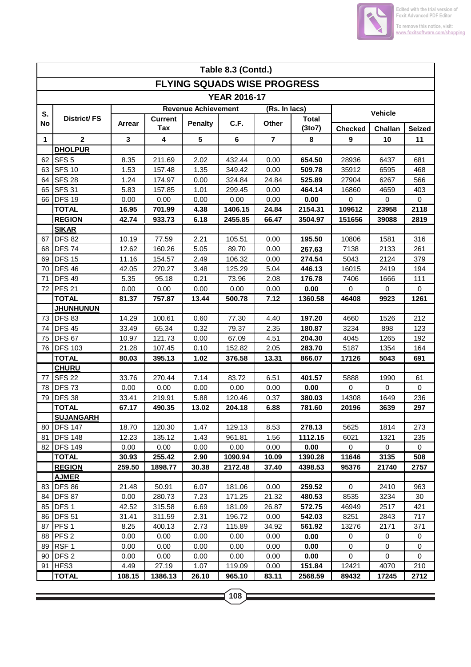

|              | Table 8.3 (Contd.)            |               |                       |                            |                                    |                         |                        |                     |           |                   |  |
|--------------|-------------------------------|---------------|-----------------------|----------------------------|------------------------------------|-------------------------|------------------------|---------------------|-----------|-------------------|--|
|              |                               |               |                       |                            | <b>FLYING SQUADS WISE PROGRESS</b> |                         |                        |                     |           |                   |  |
|              |                               |               |                       |                            | <b>YEAR 2016-17</b>                |                         |                        |                     |           |                   |  |
| S.           |                               |               |                       | <b>Revenue Achievement</b> |                                    | (Rs. In lacs)           |                        | Vehicle             |           |                   |  |
| No           | <b>District/FS</b>            | Arrear        | <b>Current</b><br>Tax | <b>Penalty</b>             | C.F.                               | Other                   | <b>Total</b><br>(3to7) | <b>Checked</b>      | Challan   | <b>Seized</b>     |  |
| $\mathbf{1}$ | $\overline{\mathbf{2}}$       | 3             | 4                     | 5                          | 6                                  | $\overline{\mathbf{r}}$ | 8                      | 9                   | 10        | 11                |  |
|              | <b>DHOLPUR</b>                |               |                       |                            |                                    |                         |                        |                     |           |                   |  |
| 62           | SFS <sub>5</sub>              | 8.35          | 211.69                | 2.02                       | 432.44                             | 0.00                    | 654.50                 | 28936               | 6437      | 681               |  |
| 63           | <b>SFS 10</b>                 | 1.53          | 157.48                | 1.35                       | 349.42                             | 0.00                    | 509.78                 | 35912               | 6595      | 468               |  |
| 64           | <b>SFS 28</b>                 | 1.24          | 174.97                | 0.00                       | 324.84                             | 24.84                   | 525.89                 | 27904               | 6267      | 566               |  |
| 65           | <b>SFS 31</b>                 | 5.83          | 157.85                | 1.01                       | 299.45                             | 0.00                    | 464.14                 | 16860               | 4659      | 403               |  |
| 66           | DFS <sub>19</sub>             | 0.00          | 0.00                  | 0.00                       | 0.00                               | 0.00                    | 0.00                   | 0                   | 0         | 0                 |  |
|              | <b>TOTAL</b>                  | 16.95         | 701.99                | 4.38                       | 1406.15                            | 24.84                   | 2154.31                | 109612              | 23958     | 2118              |  |
|              | <b>REGION</b>                 | 42.74         | 933.73                | 6.18                       | 2455.85                            | 66.47                   | 3504.97                | 151656              | 39088     | 2819              |  |
|              | <b>SIKAR</b>                  |               |                       |                            |                                    |                         |                        |                     |           |                   |  |
| 67           | <b>DFS 82</b>                 | 10.19         | 77.59                 | 2.21                       | 105.51                             | 0.00                    | 195.50                 | 10806               | 1581      | 316               |  |
| 68           | DFS <sub>74</sub>             | 12.62         | 160.26                | 5.05                       | 89.70                              | 0.00                    | 267.63                 | 7138                | 2133      | 261               |  |
| 69           | DFS <sub>15</sub>             | 11.16         | 154.57                | 2.49                       | 106.32                             | 0.00                    | 274.54                 | 5043                | 2124      | 379               |  |
| 70           | DFS <sub>46</sub>             | 42.05         | 270.27                | 3.48                       | 125.29                             | 5.04                    | 446.13                 | 16015               | 2419      | 194               |  |
| 71           | <b>DFS 49</b>                 | 5.35          | 95.18                 | 0.21                       | 73.96                              | 2.08                    | 176.78                 | 7406                | 1666      | 111               |  |
| 72           | PFS <sub>21</sub>             | 0.00          | 0.00                  | 0.00                       | 0.00                               | 0.00                    | 0.00                   | 0                   | 0         | $\pmb{0}$         |  |
|              | <b>TOTAL</b>                  | 81.37         | 757.87                | 13.44                      | 500.78                             | 7.12                    | 1360.58                | 46408               | 9923      | 1261              |  |
|              | <b>JHUNHUNUN</b>              |               |                       |                            |                                    |                         |                        |                     |           |                   |  |
| 73           | <b>DFS 83</b>                 | 14.29         | 100.61                | 0.60                       | 77.30                              | 4.40                    | 197.20                 | 4660                | 1526      | 212               |  |
| 74           | <b>DFS 45</b>                 | 33.49         | 65.34                 | 0.32                       | 79.37                              | 2.35                    | 180.87                 | 3234                | 898       | 123               |  |
| 75           | DFS <sub>67</sub>             | 10.97         | 121.73                | 0.00                       | 67.09                              | 4.51                    | 204.30                 | 4045                | 1265      | 192               |  |
| 76           | <b>DFS 103</b>                | 21.28         | 107.45                | 0.10                       | 152.82                             | 2.05                    | 283.70                 | 5187                | 1354      | 164               |  |
|              | <b>TOTAL</b>                  | 80.03         | 395.13                | 1.02                       | 376.58                             | 13.31                   | 866.07                 | 17126               | 5043      | 691               |  |
|              | <b>CHURU</b>                  |               | 270.44                | 7.14                       |                                    |                         | 401.57                 |                     |           |                   |  |
| 77           | <b>SFS 22</b><br><b>DFS73</b> | 33.76<br>0.00 | 0.00                  | 0.00                       | 83.72<br>0.00                      | 6.51<br>0.00            | 0.00                   | 5888<br>$\mathbf 0$ | 1990<br>0 | 61<br>$\mathbf 0$ |  |
| 78<br>79     | <b>DFS 38</b>                 | 33.41         | 219.91                | 5.88                       | 120.46                             | 0.37                    | 380.03                 | 14308               | 1649      | 236               |  |
|              | <b>TOTAL</b>                  | 67.17         | 490.35                | 13.02                      | 204.18                             | 6.88                    | 781.60                 | 20196               | 3639      | 297               |  |
|              | <b>SUJANGARH</b>              |               |                       |                            |                                    |                         |                        |                     |           |                   |  |
| 80           | <b>IDFS 147</b>               | 18.70         | 120.30                | 1.47                       | 129.13                             | 8.53                    | 278.13                 | 5625                | 1814      | 273               |  |
| 81           | <b>DFS 148</b>                | 12.23         | 135.12                | 1.43                       | 961.81                             | 1.56                    | 1112.15                | 6021                | 1321      | 235               |  |
| 82           | <b>DFS 149</b>                | 0.00          | 0.00                  | 0.00                       | 0.00                               | 0.00                    | 0.00                   | 0                   | 0         | 0                 |  |
|              | <b>TOTAL</b>                  | 30.93         | 255.42                | 2.90                       | 1090.94                            | 10.09                   | 1390.28                | 11646               | 3135      | 508               |  |
|              | <b>REGION</b>                 | 259.50        | 1898.77               | 30.38                      | 2172.48                            | 37.40                   | 4398.53                | 95376               | 21740     | 2757              |  |
|              | <b>AJMER</b>                  |               |                       |                            |                                    |                         |                        |                     |           |                   |  |
| 83           | DFS 86                        | 21.48         | 50.91                 | 6.07                       | 181.06                             | 0.00                    | 259.52                 | $\mathbf 0$         | 2410      | 963               |  |
| 84           | DFS <sub>87</sub>             | 0.00          | 280.73                | 7.23                       | 171.25                             | 21.32                   | 480.53                 | 8535                | 3234      | 30                |  |
| 85           | DFS <sub>1</sub>              | 42.52         | 315.58                | 6.69                       | 181.09                             | 26.87                   | 572.75                 | 46949               | 2517      | 421               |  |
| 86           | <b>DFS 51</b>                 | 31.41         | 311.59                | 2.31                       | 196.72                             | 0.00                    | 542.03                 | 8251                | 2843      | 717               |  |
| 87           | PFS <sub>1</sub>              | 8.25          | 400.13                | 2.73                       | 115.89                             | 34.92                   | 561.92                 | 13276               | 2171      | 371               |  |
| 88           | PFS <sub>2</sub>              | 0.00          | 0.00                  | 0.00                       | 0.00                               | 0.00                    | 0.00                   | 0                   | 0         | 0                 |  |
| 89           | RSF <sub>1</sub>              | 0.00          | 0.00                  | 0.00                       | 0.00                               | 0.00                    | 0.00                   | 0                   | 0         | 0                 |  |
| 90           | DFS <sub>2</sub>              | 0.00          | 0.00                  | 0.00                       | 0.00                               | 0.00                    | 0.00                   | 0                   | 0         | 0                 |  |
| 91           | HFS3                          | 4.49          | 27.19                 | 1.07                       | 119.09                             | 0.00                    | 151.84                 | 12421               | 4070      | 210               |  |
|              | <b>TOTAL</b>                  | 108.15        | 1386.13               | 26.10                      | 965.10                             | 83.11                   | 2568.59                | 89432               | 17245     | 2712              |  |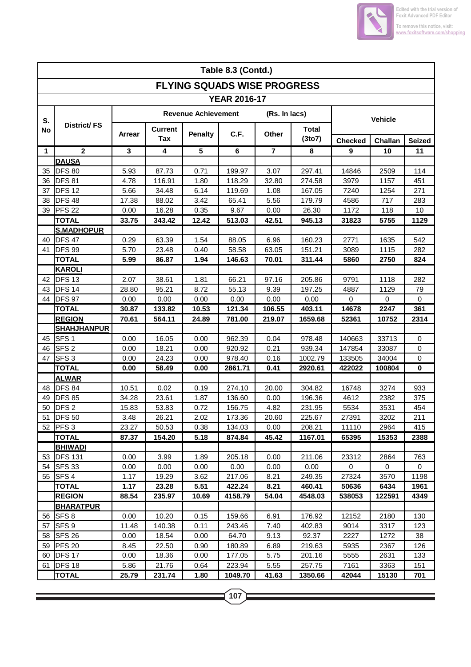

|    | Table 8.3 (Contd.)                  |               |                       |                            |                                    |               |                        |                |                          |             |  |  |
|----|-------------------------------------|---------------|-----------------------|----------------------------|------------------------------------|---------------|------------------------|----------------|--------------------------|-------------|--|--|
|    |                                     |               |                       |                            | <b>FLYING SQUADS WISE PROGRESS</b> |               |                        |                |                          |             |  |  |
|    |                                     |               |                       |                            | <b>YEAR 2016-17</b>                |               |                        |                |                          |             |  |  |
| S. |                                     |               |                       | <b>Revenue Achievement</b> |                                    | (Rs. In lacs) |                        | <b>Vehicle</b> |                          |             |  |  |
| No | District/FS                         | <b>Arrear</b> | <b>Current</b><br>Tax | <b>Penalty</b>             | C.F.                               | <b>Other</b>  | <b>Total</b><br>(3to7) | <b>Checked</b> | Challan<br><b>Seized</b> |             |  |  |
| 1  | $\mathbf{2}$                        | 3             | 4                     | $5\phantom{.0}$            | 6                                  | 7             | 8                      | 9              | 10                       | 11          |  |  |
|    | <b>DAUSA</b>                        |               |                       |                            |                                    |               |                        |                |                          |             |  |  |
| 35 | <b>DFS 80</b>                       | 5.93          | 87.73                 | 0.71                       | 199.97                             | 3.07          | 297.41                 | 14846          | 2509                     | 114         |  |  |
| 36 | DFS 81                              | 4.78          | 116.91                | 1.80                       | 118.29                             | 32.80         | 274.58                 | 3979           | 1157                     | 451         |  |  |
| 37 | <b>DFS 12</b>                       | 5.66          | 34.48                 | 6.14                       | 119.69                             | 1.08          | 167.05                 | 7240           | 1254                     | 271         |  |  |
| 38 | DFS <sub>48</sub>                   | 17.38         | 88.02                 | 3.42                       | 65.41                              | 5.56          | 179.79                 | 4586           | 717                      | 283         |  |  |
| 39 | PFS <sub>22</sub>                   | 0.00          | 16.28                 | 0.35                       | 9.67                               | 0.00          | 26.30                  | 1172           | 118                      | 10          |  |  |
|    | <b>TOTAL</b>                        | 33.75         | 343.42                | 12.42                      | 513.03                             | 42.51         | 945.13                 | 31823          | 5755                     | 1129        |  |  |
|    | <b>S.MADHOPUR</b>                   |               |                       |                            |                                    |               |                        |                |                          |             |  |  |
| 40 | DFS <sub>47</sub>                   | 0.29          | 63.39                 | 1.54                       | 88.05                              | 6.96          | 160.23                 | 2771           | 1635                     | 542         |  |  |
| 41 | DFS 99                              | 5.70          | 23.48                 | 0.40                       | 58.58                              | 63.05         | 151.21                 | 3089           | 1115                     | 282         |  |  |
|    | <b>TOTAL</b>                        | 5.99          | 86.87                 | 1.94                       | 146.63                             | 70.01         | 311.44                 | 5860           | 2750                     | 824         |  |  |
|    | <b>KAROLI</b>                       |               |                       |                            |                                    |               |                        |                |                          |             |  |  |
| 42 | <b>DFS 13</b>                       | 2.07          | 38.61                 | 1.81                       | 66.21                              | 97.16         | 205.86                 | 9791           | 1118                     | 282         |  |  |
| 43 | <b>DFS 14</b>                       | 28.80         | 95.21                 | 8.72                       | 55.13                              | 9.39          | 197.25                 | 4887           | 1129                     | 79          |  |  |
| 44 | DFS 97                              | 0.00          | 0.00                  | 0.00                       | 0.00                               | 0.00          | 0.00                   | 0              | 0                        | 0           |  |  |
|    | <b>TOTAL</b>                        | 30.87         | 133.82                | 10.53                      | 121.34                             | 106.55        | 403.11                 | 14678          | 2247                     | 361         |  |  |
|    | <b>REGION</b><br><b>SHAHJHANPUR</b> | 70.61         | 564.11                | 24.89                      | 781.00                             | 219.07        | 1659.68                | 52361          | 10752                    | 2314        |  |  |
| 45 | SFS <sub>1</sub>                    | 0.00          | 16.05                 | 0.00                       | 962.39                             | 0.04          | 978.48                 | 140663         | 33713                    | 0           |  |  |
| 46 | SFS <sub>2</sub>                    | 0.00          | 18.21                 | 0.00                       | 920.92                             | 0.21          | 939.34                 | 147854         | 33087                    | 0           |  |  |
| 47 | SFS <sub>3</sub>                    | 0.00          | 24.23                 | 0.00                       | 978.40                             | 0.16          | 1002.79                | 133505         | 34004                    | 0           |  |  |
|    | <b>TOTAL</b>                        | 0.00          | 58.49                 | 0.00                       | 2861.71                            | 0.41          | 2920.61                | 422022         | 100804                   | $\mathbf 0$ |  |  |
|    | <b>ALWAR</b>                        |               |                       |                            |                                    |               |                        |                |                          |             |  |  |
| 48 | <b>DFS 84</b>                       | 10.51         | 0.02                  | 0.19                       | 274.10                             | 20.00         | 304.82                 | 16748          | 3274                     | 933         |  |  |
| 49 | <b>DFS 85</b>                       | 34.28         | 23.61                 | 1.87                       | 136.60                             | 0.00          | 196.36                 | 4612           | 2382                     | 375         |  |  |
| 50 | DFS <sub>2</sub>                    | 15.83         | 53.83                 | 0.72                       | 156.75                             | 4.82          | 231.95                 | 5534           | 3531                     | 454         |  |  |
|    | 51 DFS 50                           | 3.48          | 26.21                 | 2.02                       | 173.36                             | 20.60         | 225.67                 | 27391          | 3202                     | 211         |  |  |
|    | 52 <b>PFS 3</b>                     | 23.27         | 50.53                 | 0.38                       | 134.03                             | 0.00          | 208.21                 | 11110          | 2964                     | 415         |  |  |
|    | <b>TOTAL</b>                        | 87.37         | 154.20                | 5.18                       | 874.84                             | 45.42         | 1167.01                | 65395          | 15353                    | 2388        |  |  |
|    | <b>BHIWADI</b>                      |               |                       |                            |                                    |               |                        |                |                          |             |  |  |
| 53 | <b>IDFS 131</b>                     | 0.00          | 3.99                  | 1.89                       | 205.18                             | 0.00          | 211.06                 | 23312          | 2864                     | 763         |  |  |
| 54 | <b>SFS 33</b>                       | 0.00          | 0.00                  | 0.00                       | 0.00                               | 0.00          | 0.00                   | 0              | 0                        | $\mathbf 0$ |  |  |
|    | 55 SFS 4                            | 1.17          | 19.29                 | 3.62                       | 217.06                             | 8.21          | 249.35                 | 27324          | 3570                     | 1198        |  |  |
|    | <b>TOTAL</b>                        | 1.17          | 23.28                 | 5.51                       | 422.24                             | 8.21          | 460.41                 | 50636          | 6434                     | 1961        |  |  |
|    | <b>REGION</b>                       | 88.54         | 235.97                | 10.69                      | 4158.79                            | 54.04         | 4548.03                | 538053         | 122591                   | 4349        |  |  |
|    | <b>BHARATPUR</b>                    |               |                       |                            |                                    |               |                        |                |                          |             |  |  |
| 56 | SFS <sub>8</sub>                    | 0.00          | 10.20                 | 0.15                       | 159.66                             | 6.91          | 176.92                 | 12152          | 2180                     | 130         |  |  |
| 57 | SFS 9                               | 11.48         | 140.38                | 0.11                       | 243.46                             | 7.40          | 402.83                 | 9014           | 3317                     | 123         |  |  |
| 58 | <b>SFS 26</b>                       | 0.00          | 18.54                 | 0.00                       | 64.70                              | 9.13          | 92.37                  | 2227           | 1272                     | 38          |  |  |
| 59 | <b>PFS 20</b>                       | 8.45          | 22.50                 | 0.90                       | 180.89                             | 6.89          | 219.63                 | 5935           | 2367                     | 126         |  |  |
| 60 | DFS 17                              | 0.00          | 18.36                 | 0.00                       | 177.05                             | 5.75          | 201.16                 | 5555           | 2631                     | 133         |  |  |
| 61 | DFS <sub>18</sub>                   | 5.86          | 21.76                 | 0.64                       | 223.94                             | 5.55          | 257.75                 | 7161           | 3363                     | 151         |  |  |
|    | <b>TOTAL</b>                        | 25.79         | 231.74                | 1.80                       | 1049.70                            | 41.63         | 1350.66                | 42044          | 15130                    | 701         |  |  |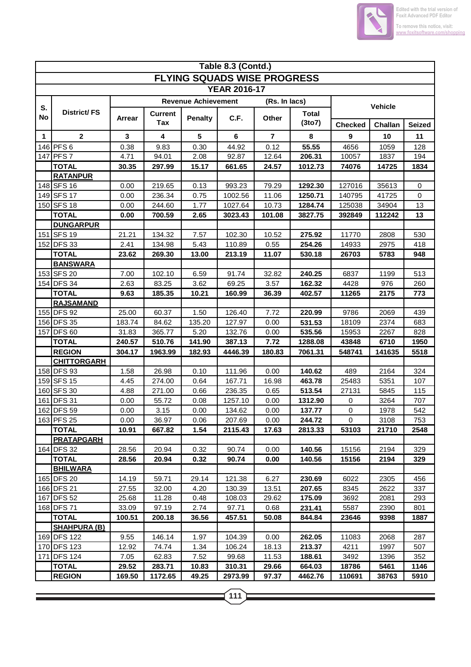

Ξ

|    | Table 8.3 (Contd.)                  |        |                |                            |                                    |               |              |                |                |               |  |  |
|----|-------------------------------------|--------|----------------|----------------------------|------------------------------------|---------------|--------------|----------------|----------------|---------------|--|--|
|    |                                     |        |                |                            | <b>FLYING SQUADS WISE PROGRESS</b> |               |              |                |                |               |  |  |
|    |                                     |        |                |                            | <b>YEAR 2016-17</b>                |               |              |                |                |               |  |  |
|    |                                     |        |                | <b>Revenue Achievement</b> |                                    | (Rs. In lacs) |              |                |                |               |  |  |
| S. | District/FS                         |        | <b>Current</b> |                            |                                    |               | <b>Total</b> |                | <b>Vehicle</b> |               |  |  |
| No |                                     | Arrear | Tax            | <b>Penalty</b>             | C.F.                               | Other         | (3to7)       | <b>Checked</b> | Challan        | <b>Seized</b> |  |  |
| 1  | $\mathbf{2}$                        | 3      | 4              | 5                          | 6                                  | 7             | 8            | 9              | 10             | 11            |  |  |
|    | 146 PFS 6                           | 0.38   | 9.83           | 0.30                       | 44.92                              | 0.12          | 55.55        | 4656           | 1059           | 128           |  |  |
|    | 147 PFS 7                           | 4.71   | 94.01          | 2.08                       | 92.87                              | 12.64         | 206.31       | 10057          | 1837           | 194           |  |  |
|    | <b>TOTAL</b>                        | 30.35  | 297.99         | 15.17                      | 661.65                             | 24.57         | 1012.73      | 74076          | 14725          | 1834          |  |  |
|    | <b>RATANPUR</b>                     |        |                |                            |                                    |               |              |                |                |               |  |  |
|    | 148 SFS 16                          | 0.00   | 219.65         | 0.13                       | 993.23                             | 79.29         | 1292.30      | 127016         | 35613          | $\mathbf 0$   |  |  |
|    | 149 SFS 17                          | 0.00   | 236.34         | 0.75                       | 1002.56                            | 11.06         | 1250.71      | 140795         | 41725          | $\mathbf 0$   |  |  |
|    | 150 SFS 18                          | 0.00   | 244.60         | 1.77                       | 1027.64                            | 10.73         | 1284.74      | 125038         | 34904          | 13            |  |  |
|    | <b>TOTAL</b>                        | 0.00   | 700.59         | 2.65                       | 3023.43                            | 101.08        | 3827.75      | 392849         | 112242         | 13            |  |  |
|    | <b>DUNGARPUR</b>                    |        |                |                            |                                    |               |              |                |                |               |  |  |
|    | 151 SFS 19                          | 21.21  | 134.32         | 7.57                       | 102.30                             | 10.52         | 275.92       | 11770          | 2808           | 530           |  |  |
|    | 152 DFS 33                          | 2.41   | 134.98         | 5.43                       | 110.89                             | 0.55          | 254.26       | 14933          | 2975           | 418           |  |  |
|    | <b>TOTAL</b>                        | 23.62  | 269.30         | 13.00                      | 213.19                             | 11.07         | 530.18       | 26703          | 5783           | 948           |  |  |
|    | <b>BANSWARA</b>                     |        |                |                            |                                    |               |              |                |                |               |  |  |
|    | 153 SFS 20                          | 7.00   | 102.10         | 6.59                       | 91.74                              | 32.82         | 240.25       | 6837           | 1199           | 513           |  |  |
|    | 154 DFS 34                          | 2.63   | 83.25          | 3.62                       | 69.25                              | 3.57          | 162.32       | 4428           | 976            | 260           |  |  |
|    | <b>TOTAL</b>                        | 9.63   | 185.35         | 10.21                      | 160.99                             | 36.39         | 402.57       | 11265          | 2175           | 773           |  |  |
|    | <b>RAJSAMAND</b>                    |        |                |                            |                                    |               |              |                |                |               |  |  |
|    | 155 DFS 92                          | 25.00  | 60.37          | 1.50                       | 126.40                             | 7.72          | 220.99       | 9786           | 2069           | 439           |  |  |
|    | 156 DFS 35                          | 183.74 | 84.62          | 135.20                     | 127.97                             | 0.00          | 531.53       | 18109          | 2374           | 683           |  |  |
|    | 157 DFS 60                          | 31.83  | 365.77         | 5.20                       | 132.76                             | 0.00          | 535.56       | 15953          | 2267           | 828           |  |  |
|    | <b>TOTAL</b>                        | 240.57 | 510.76         | 141.90                     | 387.13                             | 7.72          | 1288.08      | 43848          | 6710           | 1950          |  |  |
|    | <b>REGION</b><br><b>CHITTORGARH</b> | 304.17 | 1963.99        | 182.93                     | 4446.39                            | 180.83        | 7061.31      | 548741         | 141635         | 5518          |  |  |
|    | 158 DFS 93                          | 1.58   | 26.98          | 0.10                       | 111.96                             | 0.00          | 140.62       | 489            | 2164           | 324           |  |  |
|    | 159 SFS 15                          | 4.45   | 274.00         | 0.64                       | 167.71                             | 16.98         | 463.78       | 25483          | 5351           | 107           |  |  |
|    | 160 SFS 30                          | 4.88   | 271.00         | 0.66                       | 236.35                             | 0.65          | 513.54       | 27131          | 5845           | 115           |  |  |
|    | 161 DFS 31                          | 0.00   | 55.72          | 0.08                       | 1257.10                            | 0.00          | 1312.90      | 0              | 3264           | 707           |  |  |
|    | 162 DFS 59                          | 0.00   | 3.15           | 0.00                       | 134.62                             | 0.00          | 137.77       | $\mathbf 0$    | 1978           | 542           |  |  |
|    | 163 PFS 25                          | 0.00   | 36.97          | 0.06                       | 207.69                             | 0.00          | 244.72       | 0              | 3108           | 753           |  |  |
|    | <b>TOTAL</b>                        | 10.91  | 667.82         | 1.54                       | 2115.43                            | 17.63         | 2813.33      | 53103          | 21710          | 2548          |  |  |
|    | <b>PRATAPGARH</b>                   |        |                |                            |                                    |               |              |                |                |               |  |  |
|    | 164 DFS 32                          | 28.56  | 20.94          | 0.32                       | 90.74                              | 0.00          | 140.56       | 15156          | 2194           | 329           |  |  |
|    | <b>TOTAL</b>                        | 28.56  | 20.94          | 0.32                       | 90.74                              | 0.00          | 140.56       | 15156          | 2194           | 329           |  |  |
|    | <b>BHILWARA</b>                     |        |                |                            |                                    |               |              |                |                |               |  |  |
|    | 165 DFS 20                          | 14.19  | 59.71          | 29.14                      | 121.38                             | 6.27          | 230.69       | 6022           | 2305           | 456           |  |  |
|    | 166 DFS 21                          | 27.55  | 32.00          | 4.20                       | 130.39                             | 13.51         | 207.65       | 8345           | 2622           | 337           |  |  |
|    | 167 DFS 52                          | 25.68  | 11.28          | 0.48                       | 108.03                             | 29.62         | 175.09       | 3692           | 2081           | 293           |  |  |
|    | 168 DFS 71                          | 33.09  | 97.19          | 2.74                       | 97.71                              | 0.68          | 231.41       | 5587           | 2390           | 801           |  |  |
|    | <b>TOTAL</b>                        | 100.51 | 200.18         | 36.56                      | 457.51                             | 50.08         | 844.84       | 23646          | 9398           | 1887          |  |  |
|    | <b>SHAHPURA (B)</b>                 |        |                |                            |                                    |               |              |                |                |               |  |  |
|    | 169 DFS 122                         | 9.55   | 146.14         | 1.97                       | 104.39                             | 0.00          | 262.05       | 11083          | 2068           | 287           |  |  |
|    | 170 DFS 123                         | 12.92  | 74.74          | 1.34                       | 106.24                             | 18.13         | 213.37       | 4211           | 1997           | 507           |  |  |
|    | 171 DFS 124<br><b>TOTAL</b>         | 7.05   | 62.83          | 7.52                       | 99.68<br>310.31                    | 11.53         | 188.61       | 3492           | 1396           | 352           |  |  |
|    | <b>REGION</b>                       | 29.52  | 283.71         | 10.83<br>49.25             |                                    | 29.66         | 664.03       | 18786          | 5461           | 1146          |  |  |
|    |                                     | 169.50 | 1172.65        |                            | 2973.99                            | 97.37         | 4462.76      | 110691         | 38763          | 5910          |  |  |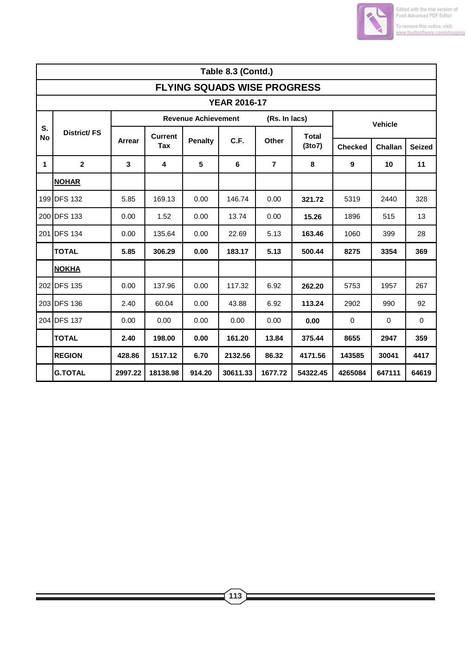

|             | Table 8.3 (Contd.)                 |              |                       |                            |          |                |              |                  |                |               |  |  |  |
|-------------|------------------------------------|--------------|-----------------------|----------------------------|----------|----------------|--------------|------------------|----------------|---------------|--|--|--|
|             | <b>FLYING SQUADS WISE PROGRESS</b> |              |                       |                            |          |                |              |                  |                |               |  |  |  |
|             | <b>YEAR 2016-17</b>                |              |                       |                            |          |                |              |                  |                |               |  |  |  |
| S.          |                                    |              |                       | <b>Revenue Achievement</b> |          | (Rs. In lacs)  |              |                  | <b>Vehicle</b> |               |  |  |  |
| <b>No</b>   | District/FS                        | Arrear       | <b>Current</b><br>Tax | <b>Penalty</b>             | C.F.     | Other          | <b>Total</b> |                  |                |               |  |  |  |
|             |                                    |              |                       |                            |          |                | (3to7)       | <b>Checked</b>   | Challan        | <b>Seized</b> |  |  |  |
| $\mathbf 1$ | $\overline{2}$                     | $\mathbf{3}$ | 4                     | 5                          | 6        | $\overline{7}$ | 8            | $\boldsymbol{9}$ | 10             | 11            |  |  |  |
|             | <b>NOHAR</b>                       |              |                       |                            |          |                |              |                  |                |               |  |  |  |
|             | 199 DFS 132                        | 5.85         | 169.13                | 0.00                       | 146.74   | 0.00           | 321.72       | 5319             | 2440           | 328           |  |  |  |
|             | 200 DFS 133                        | 0.00         | 1.52                  | 0.00                       | 13.74    | 0.00           | 15.26        | 1896             | 515            | 13            |  |  |  |
|             | 201 DFS 134                        | 0.00         | 135.64                | 0.00                       | 22.69    | 5.13           | 163.46       | 1060             | 399            | 28            |  |  |  |
|             | <b>TOTAL</b>                       | 5.85         | 306.29                | 0.00                       | 183.17   | 5.13           | 500.44       | 8275             | 3354           | 369           |  |  |  |
|             | <b>NOKHA</b>                       |              |                       |                            |          |                |              |                  |                |               |  |  |  |
|             | 202 DFS 135                        | 0.00         | 137.96                | 0.00                       | 117.32   | 6.92           | 262.20       | 5753             | 1957           | 267           |  |  |  |
|             | 203 DFS 136                        | 2.40         | 60.04                 | 0.00                       | 43.88    | 6.92           | 113.24       | 2902             | 990            | 92            |  |  |  |
|             | 204 DFS 137                        | 0.00         | 0.00                  | 0.00                       | 0.00     | 0.00           | 0.00         | 0                | 0              | 0             |  |  |  |
|             | <b>TOTAL</b>                       | 2.40         | 198.00                | 0.00                       | 161.20   | 13.84          | 375.44       | 8655             | 2947           | 359           |  |  |  |
|             | <b>REGION</b>                      | 428.86       | 1517.12               | 6.70                       | 2132.56  | 86.32          | 4171.56      | 143585           | 30041          | 4417          |  |  |  |
|             | <b>G.TOTAL</b>                     | 2997.22      | 18138.98              | 914.20                     | 30611.33 | 1677.72        | 54322.45     | 4265084          | 647111         | 64619         |  |  |  |